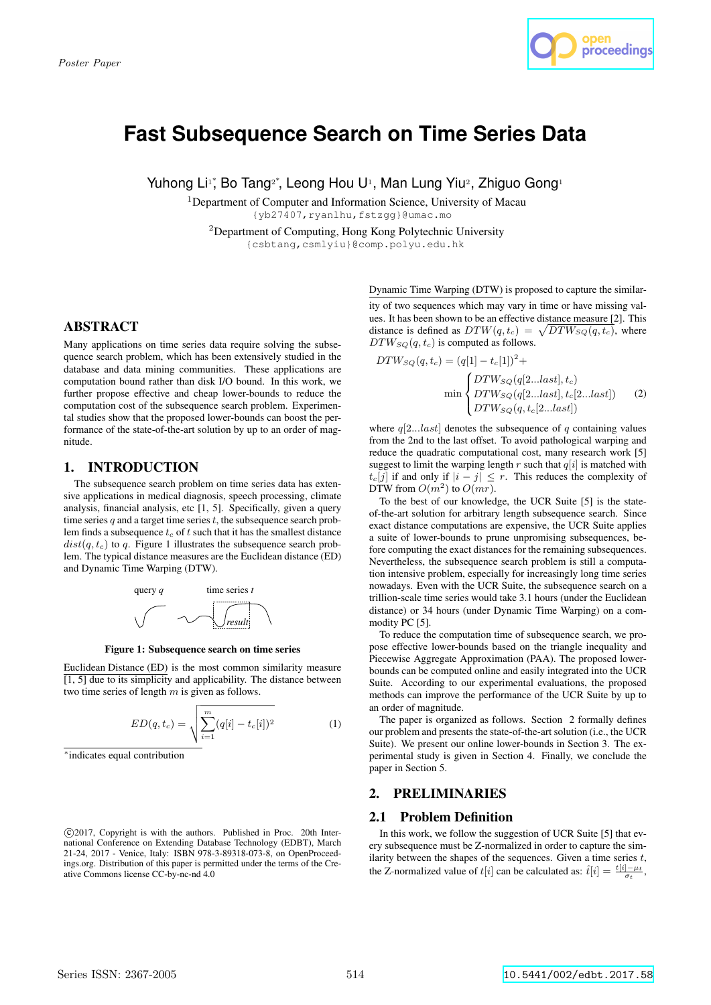

# **Fast Subsequence Search on Time Series Data**

Yuhong Li<sup>1</sup>, Bo Tang<sup>2</sup>, Leong Hou U<sup>1</sup>, Man Lung Yiu<sup>2</sup>, Zhiguo Gong<sup>1</sup>

<sup>1</sup>Department of Computer and Information Science, University of Macau {yb27407,ryanlhu,fstzgg}@umac.mo

<sup>2</sup>Department of Computing, Hong Kong Polytechnic University {csbtang,csmlyiu}@comp.polyu.edu.hk

# ABSTRACT

Many applications on time series data require solving the subsequence search problem, which has been extensively studied in the database and data mining communities. These applications are computation bound rather than disk I/O bound. In this work, we further propose effective and cheap lower-bounds to reduce the computation cost of the subsequence search problem. Experimental studies show that the proposed lower-bounds can boost the performance of the state-of-the-art solution by up to an order of magnitude.

# 1. INTRODUCTION

The subsequence search problem on time series data has extensive applications in medical diagnosis, speech processing, climate analysis, financial analysis, etc [1, 5]. Specifically, given a query time series  $q$  and a target time series  $t$ , the subsequence search problem finds a subsequence  $t_c$  of t such that it has the smallest distance  $dist(q, t_c)$  to q. Figure 1 illustrates the subsequence search problem. The typical distance measures are the Euclidean distance (ED) and Dynamic Time Warping (DTW).



Figure 1: Subsequence search on time series

Euclidean Distance (ED) is the most common similarity measure  $\overline{[1, 5]}$  due to its simplicity and applicability. The distance between two time series of length  $m$  is given as follows.

$$
ED(q, t_c) = \sqrt{\sum_{i=1}^{m} (q[i] - t_c[i])^2}
$$
 (1)

∗ indicates equal contribution

Dynamic Time Warping (DTW) is proposed to capture the similar-

ity of two sequences which may vary in time or have missing values. It has been shown to be an effective distance measure [2]. This distance is defined as  $DTW(q, t_c) = \sqrt{DTW_{SQ}(q, t_c)}$ , where  $DTW_{SQ}(q, t_c)$  is computed as follows.

$$
DTW_{SQ}(q, t_c) = (q[1] - t_c[1])^2 +
$$
  
\n
$$
\min \begin{cases} DTW_{SQ}(q[2...last], t_c) \\ DTW_{SQ}(q[2...last], t_c[2...last]) \\ DTW_{SQ}(q, t_c[2...last]) \end{cases}
$$
 (2)

where  $q[2...last]$  denotes the subsequence of q containing values from the 2nd to the last offset. To avoid pathological warping and reduce the quadratic computational cost, many research work [5] suggest to limit the warping length r such that  $q[i]$  is matched with  $t_c[j]$  if and only if  $|i - j| \leq r$ . This reduces the complexity of DTW from  $O(m^2)$  to  $O(mr)$ .

trillion-scale time series would take 3.1 hours (under the Euclidean To the best of our knowledge, the UCR Suite [5] is the stateof-the-art solution for arbitrary length subsequence search. Since exact distance computations are expensive, the UCR Suite applies a suite of lower-bounds to prune unpromising subsequences, before computing the exact distances for the remaining subsequences. Nevertheless, the subsequence search problem is still a computation intensive problem, especially for increasingly long time series nowadays. Even with the UCR Suite, the subsequence search on a distance) or 34 hours (under Dynamic Time Warping) on a commodity PC [5].

To reduce the computation time of subsequence search, we propose effective lower-bounds based on the triangle inequality and Piecewise Aggregate Approximation (PAA). The proposed lowerbounds can be computed online and easily integrated into the UCR Suite. According to our experimental evaluations, the proposed methods can improve the performance of the UCR Suite by up to an order of magnitude.

The paper is organized as follows. Section 2 formally defines our problem and presents the state-of-the-art solution (i.e., the UCR Suite). We present our online lower-bounds in Section 3. The experimental study is given in Section 4. Finally, we conclude the paper in Section 5.

# 2. PRELIMINARIES

# 2.1 Problem Definition

In this work, we follow the suggestion of UCR Suite [5] that every subsequence must be Z-normalized in order to capture the similarity between the shapes of the sequences. Given a time series  $t$ , the Z-normalized value of  $t[i]$  can be calculated as:  $\hat{t}[i] = \frac{t[i] - \mu_t}{\sigma_t}$ ,

c 2017, Copyright is with the authors. Published in Proc. 20th International Conference on Extending Database Technology (EDBT), March 21-24, 2017 - Venice, Italy: ISBN 978-3-89318-073-8, on OpenProceedings.org. Distribution of this paper is permitted under the terms of the Creative Commons license CC-by-nc-nd 4.0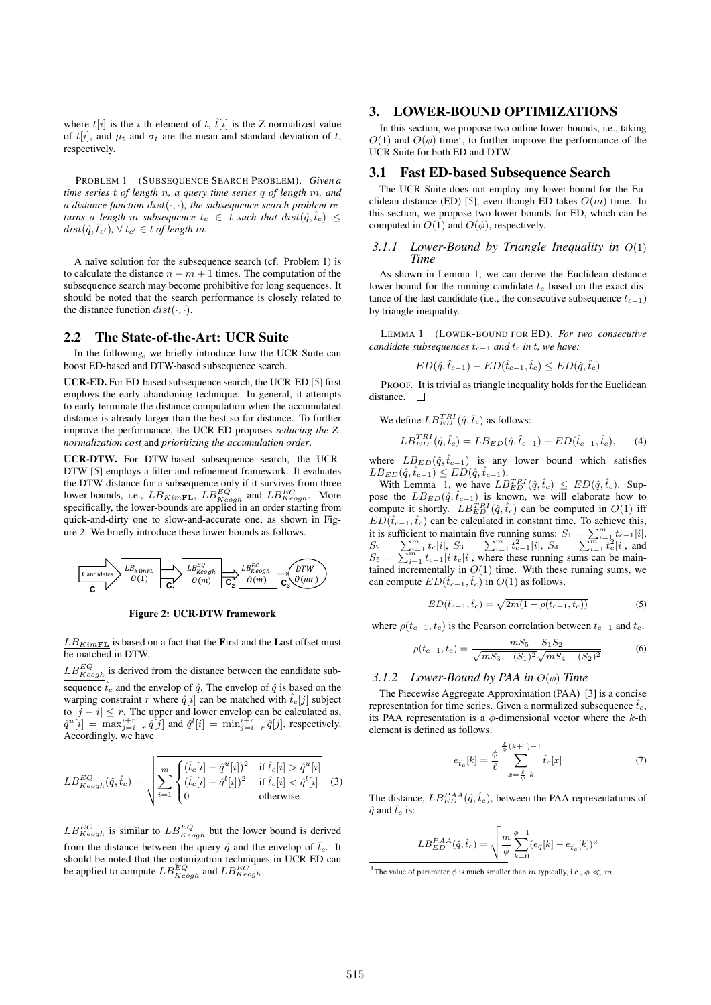where  $t[i]$  is the *i*-th element of  $t$ ,  $\hat{t}[i]$  is the Z-normalized value of t[i], and  $\mu_t$  and  $\sigma_t$  are the mean and standard deviation of t, respectively.

PROBLEM 1 (SUBSEQUENCE SEARCH PROBLEM). *Given a time series* t *of length* n*, a query time series* q *of length* m*, and a distance function* dist(·, ·)*, the subsequence search problem returns a length-m subsequence*  $t_c \in t$  *such that*  $dist(\hat{q}, \hat{t}_c)$  <  $dist(\hat{q}, \hat{t}_{c'})$ ,  $\forall t_{c'} \in t$  *of length m*.

A naïve solution for the subsequence search (cf. Problem 1) is to calculate the distance  $n - m + 1$  times. The computation of the subsequence search may become prohibitive for long sequences. It should be noted that the search performance is closely related to the distance function  $dist(\cdot, \cdot)$ .

#### 2.2 The State-of-the-Art: UCR Suite

In the following, we briefly introduce how the UCR Suite can boost ED-based and DTW-based subsequence search.

UCR-ED. For ED-based subsequence search, the UCR-ED [5] first employs the early abandoning technique. In general, it attempts to early terminate the distance computation when the accumulated distance is already larger than the best-so-far distance. To further improve the performance, the UCR-ED proposes *reducing the Znormalization cost* and *prioritizing the accumulation order*.

UCR-DTW. For DTW-based subsequence search, the UCR-DTW [5] employs a filter-and-refinement framework. It evaluates the DTW distance for a subsequence only if it survives from three lower-bounds, i.e.,  $LB_{KimFL}$ ,  $LB_{Keogh}^{EQ}$  and  $LB_{Keogh}^{EC}$ . More specifically, the lower-bounds are applied in an order starting from quick-and-dirty one to slow-and-accurate one, as shown in Figure 2. We briefly introduce these lower bounds as follows.



Figure 2: UCR-DTW framework

 $LB_{KimFL}$  is based on a fact that the First and the Last offset must be matched in DTW.

 $LB_{Keogh}^{EQ}$  is derived from the distance between the candidate subsequence  $\hat{t}_c$  and the envelop of  $\hat{q}$ . The envelop of  $\hat{q}$  is based on the warping constraint r where  $\hat{q}[i]$  can be matched with  $\hat{t}_c[j]$  subject to  $|j - i| \le r$ . The upper and lower envelop can be calculated as,  $\hat{q}^u[i] = \max_{j=i-r}^{i+r} \hat{q}[j]$  and  $\hat{q}^l[i] = \min_{j=i-r}^{i+r} \hat{q}[j]$ , respectively. Accordingly, we have

$$
LB_{Keogh}^{EQ}(\hat{q}, \hat{t}_c) = \sqrt{\sum_{i=1}^{m} \begin{cases} (\hat{t}_c[i] - \hat{q}^u[i])^2 & \text{if } \hat{t}_c[i] > \hat{q}^u[i] \\ (\hat{t}_c[i] - \hat{q}^l[i])^2 & \text{if } \hat{t}_c[i] < \hat{q}^l[i] \\ 0 & \text{otherwise} \end{cases}}
$$
(3)

 $LB_{Keogh}^{EC}$  is similar to  $LB_{Keogh}^{EQ}$  but the lower bound is derived from the distance between the query  $\hat{q}$  and the envelop of  $\hat{t}_c$ . It should be noted that the optimization techniques in UCR-ED can be applied to compute  $LB_{Keogh}^{EQ}$  and  $LB_{Keogh}^{EC}$ .

# 3. LOWER-BOUND OPTIMIZATIONS

In this section, we propose two online lower-bounds, i.e., taking  $O(1)$  and  $O(\phi)$  time<sup>1</sup>, to further improve the performance of the UCR Suite for both ED and DTW.

#### 3.1 Fast ED-based Subsequence Search

The UCR Suite does not employ any lower-bound for the Euclidean distance (ED) [5], even though ED takes  $O(m)$  time. In this section, we propose two lower bounds for ED, which can be computed in  $O(1)$  and  $O(\phi)$ , respectively.

#### *3.1.1 Lower-Bound by Triangle Inequality in* O(1) *Time*

As shown in Lemma 1, we can derive the Euclidean distance lower-bound for the running candidate  $t_c$  based on the exact distance of the last candidate (i.e., the consecutive subsequence  $t_{c-1}$ ) by triangle inequality.

LEMMA 1 (LOWER-BOUND FOR ED). *For two consecutive candidate subsequences*  $t_{c-1}$  *and*  $t_c$  *in*  $t$ *, we have:* 

$$
ED(\hat{q}, \hat{t}_{c-1}) - ED(\hat{t}_{c-1}, \hat{t}_c) \le ED(\hat{q}, \hat{t}_c)
$$

PROOF. It is trivial as triangle inequality holds for the Euclidean distance.  $\square$ 

We define  $LB_{ED}^{TRI}(\hat{q}, \hat{t}_c)$  as follows:

$$
LB_{ED}^{TRI}(\hat{q}, \hat{t}_c) = LB_{ED}(\hat{q}, \hat{t}_{c-1}) - ED(\hat{t}_{c-1}, \hat{t}_c), \quad (4)
$$

where  $LB_{ED}(\hat{q}, \hat{t}_{c-1})$  is any lower bound which satisfies  $LB_{ED}(\hat{q}, \hat{t}_{c-1}) \leq ED(\hat{q}, \hat{t}_{c-1}).$ 

With Lemma 1, we have  $LB_{ED}^{TRI}(\hat{q}, \hat{t}_c) \leq ED(\hat{q}, \hat{t}_c)$ . Suppose the  $LB_{ED}(\hat{q}, \hat{t}_{c-1})$  is known, we will elaborate how to compute it shortly.  $LB_{ED}^{TRI}(\hat{q}, \hat{t}_c)$  can be computed in  $O(1)$  iff  $ED(\hat{t}_{c-1}, \hat{t}_c)$  can be calculated in constant time. To achieve this, it is sufficient to maintain five running sums:  $S_1 = \sum_{i=1}^m t_{c-1}[i],$  $S_2 = \sum_{i=1}^m t_c[i], S_3 = \sum_{i=1}^m t_{c-1}^2[i], S_4 = \sum_{i=1}^m t_c^2[i],$  and  $S_5 = \sum_{i=1}^{m} t_{c-1}[i]t_c[i]$ , where these running sums can be maintained incrementally in  $O(1)$  time. With these running sums, we can compute  $ED(\hat{t}_{c-1}, \hat{t}_c)$  in  $O(1)$  as follows.

$$
ED(\hat{t}_{c-1}, \hat{t}_c) = \sqrt{2m(1 - \rho(t_{c-1}, t_c))}
$$
\n(5)

where  $\rho(t_{c-1}, t_c)$  is the Pearson correlation between  $t_{c-1}$  and  $t_c$ .

$$
\rho(t_{c-1}, t_c) = \frac{mS_5 - S_1S_2}{\sqrt{mS_3 - (S_1)^2}\sqrt{mS_4 - (S_2)^2}}
$$
(6)

#### *3.1.2 Lower-Bound by PAA in* O(φ) *Time*

The Piecewise Aggregate Approximation (PAA) [3] is a concise representation for time series. Given a normalized subsequence  $\hat{t}_c$ , its PAA representation is a  $\phi$ -dimensional vector where the k-th element is defined as follows.

$$
e_{\hat{t}_c}[k] = \frac{\phi}{\ell} \sum_{x = \frac{\ell}{\phi} \cdot k}^{\frac{\ell}{\phi}(k+1)-1} \hat{t}_c[x] \tag{7}
$$

The distance,  $LB_{ED}^{PAA}(\hat{q}, \hat{t}_c)$ , between the PAA representations of  $\hat{q}$  and  $\hat{t}_c$  is:

$$
LB_{ED}^{PAA}(\hat{q}, \hat{t}_c) = \sqrt{\frac{m}{\phi} \sum_{k=0}^{\phi-1} (e_{\hat{q}}[k] - e_{\hat{t}_c}[k])^2}
$$

<sup>&</sup>lt;sup>1</sup>The value of parameter  $\phi$  is much smaller than m typically, i.e.,  $\phi \ll m$ .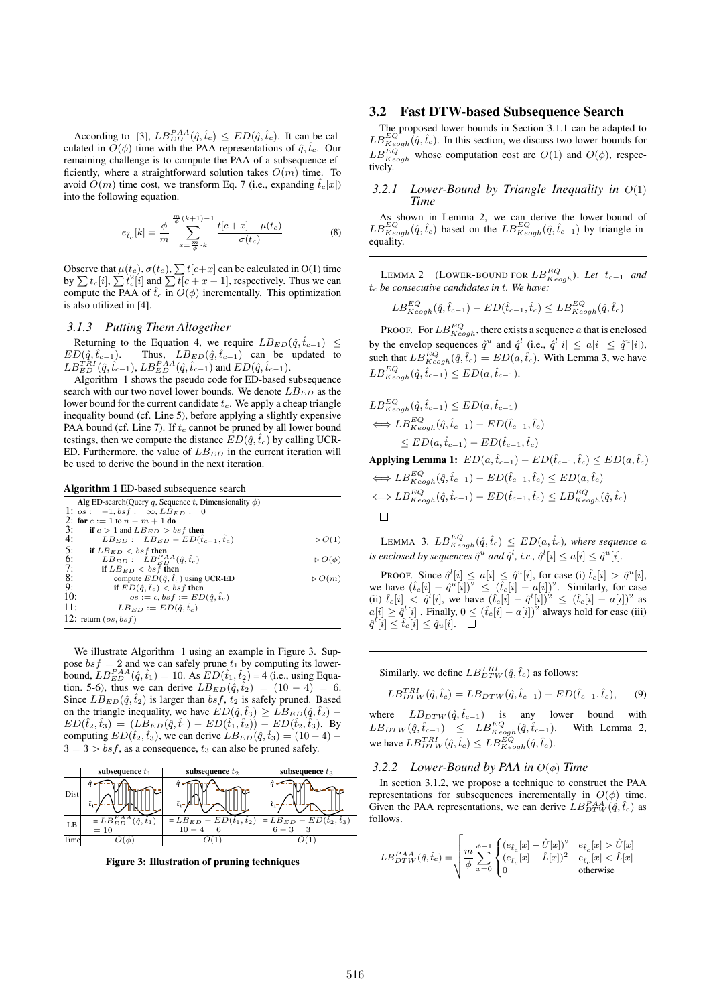According to [3],  $LB_{ED}^{PAA}(\hat{q}, \hat{t}_c) \leq ED(\hat{q}, \hat{t}_c)$ . It can be calculated in  $O(\phi)$  time with the PAA representations of  $\hat{q}, \hat{t}_c$ . Our remaining challenge is to compute the PAA of a subsequence efficiently, where a straightforward solution takes  $O(m)$  time. To avoid  $O(m)$  time cost, we transform Eq. 7 (i.e., expanding  $\hat{t}_c[x]$ ) into the following equation.

$$
e_{\hat{t}_c}[k] = \frac{\phi}{m} \sum_{x = \frac{m}{\phi} \cdot k}^{\frac{m}{\phi}(k+1)-1} \frac{t[c+x] - \mu(t_c)}{\sigma(t_c)}
$$
(8)

Observe that  $\mu(t_c)$ ,  $\sigma(t_c)$ ,  $\sum t[c+x]$  can be calculated in O(1) time by  $\sum t_c[i], \sum t_c^2[i]$  and  $\sum t[c + x - 1]$ , respectively. Thus we can compute the PAA of  $\hat{t}_c$  in  $O(\phi)$  incrementally. This optimization is also utilized in [4].

#### *3.1.3 Putting Them Altogether*

Returning to the Equation 4, we require  $LB_{ED}(\hat{q}, \hat{t}_{c-1}) \leq$  $ED(\hat{q}, \hat{t}_{c-1})$ . Thus,  $LB_{ED}(\hat{q}, \hat{t}_{c-1})$  can be updated to  $LB_{ED}^{TRI}(\hat{q}, \hat{t}_{c-1}), LB_{ED}^{PAA}(\hat{q}, \hat{t}_{c-1})$  and  $ED(\hat{q}, \hat{t}_{c-1}).$ 

Algorithm 1 shows the pseudo code for ED-based subsequence search with our two novel lower bounds. We denote  $LB_{ED}$  as the lower bound for the current candidate  $t_c$ . We apply a cheap triangle inequality bound (cf. Line 5), before applying a slightly expensive PAA bound (cf. Line 7). If  $t_c$  cannot be pruned by all lower bound testings, then we compute the distance  $ED(\hat{q}, \hat{t}_c)$  by calling UCR-ED. Furthermore, the value of  $LB_{ED}$  in the current iteration will be used to derive the bound in the next iteration.

| <b>Algorithm 1</b> ED-based subsequence search              |                                 |
|-------------------------------------------------------------|---------------------------------|
| Alg ED-search (Query q, Sequence t, Dimensionality $\phi$ ) |                                 |
| 1: $os := -1, bs f := \infty, LB_{ED} := 0$                 |                                 |
| 2: for $c := 1$ to $n - m + 1$ do                           |                                 |
| 3:<br>if $c > 1$ and $LB_{ED} > bsf$ then                   |                                 |
| 4:<br>$LB_{ED} := LB_{ED} - ED(\hat{t}_{c-1}, \hat{t}_{c})$ | $\triangleright$ $O(1)$         |
| 5:<br>if $L B_{ED} < b s f$ then                            |                                 |
| $LB_{ED} := LB_{ED}^{PAA}(\hat{q}, \hat{t}_c)$<br>6:        | $\triangleright$ $O$ ( $\phi$ ) |
| 7:<br>if $LB_{ED} <$ bs f then                              |                                 |
| 8:<br>compute $ED(\hat{q}, \hat{t}_c)$ using UCR-ED         | $\triangleright$ $O(m)$         |
| 9:<br>if $ED(\hat{q}, \hat{t}_c) < bsf$ then                |                                 |
| 10:<br>$os := c, bs f := ED(\hat{q}, \hat{t}_c)$            |                                 |
| 11:<br>$LB_{ED} := ED(\hat{q}, \hat{t}_c)$                  |                                 |
| 12: return $(\cos, bs)$                                     |                                 |
|                                                             |                                 |

We illustrate Algorithm 1 using an example in Figure 3. Suppose  $bsf = 2$  and we can safely prune  $t_1$  by computing its lowerbound,  $LB_{ED}^{PAA}(\hat{q}, \hat{t}_1) = 10$ . As  $ED(\hat{t}_1, \hat{t}_2) = 4$  (i.e., using Equation. 5-6), thus we can derive  $LB_{ED}(\hat{q}, \hat{t}_2) = (10 - 4) = 6$ . Since  $LB_{ED}(\hat{q}, \hat{t}_2)$  is larger than bs f,  $t_2$  is safely pruned. Based on the triangle inequality, we have  $ED(\hat{q}, \hat{t}_3) \geq L B_{ED}(\hat{q}, \hat{t}_2)$  –  $ED(\hat{t}_2,\hat{t}_3) = (LB_{ED}(\hat{q},\hat{t}_1) - ED(\hat{t}_1,\hat{t}_2)) - ED(\hat{t}_2,\hat{t}_3)$ . By computing  $ED(\hat{t}_2, \hat{t}_3)$ , we can derive  $LB_{ED}(\hat{q}, \hat{t}_3) = (10 - 4)$  –  $3 = 3 > bsf$ , as a consequence,  $t_3$  can also be pruned safely.



Figure 3: Illustration of pruning techniques

## 3.2 Fast DTW-based Subsequence Search

The proposed lower-bounds in Section 3.1.1 can be adapted to  $LB_{Keogh}^{EQ}(\hat{q}, \hat{t}_c)$ . In this section, we discuss two lower-bounds for  $LB_{Keogh}^{EQ}$  whose computation cost are  $O(1)$  and  $O(\phi)$ , respectively.

### *3.2.1 Lower-Bound by Triangle Inequality in* O(1) *Time*

As shown in Lemma 2, we can derive the lower-bound of  $LB_{Keogh}^{EQ}(\hat{q}, \hat{t}_c)$  based on the  $LB_{Keogh}^{EQ}(\hat{q}, \hat{t}_{c-1})$  by triangle inequality.

LEMMA 2 (LOWER-BOUND FOR  $LB_{Keogh}^{EQ}$ ). Let  $t_{c-1}$  and  $t_c$  *be consecutive candidates in t. We have:* 

$$
LB_{Keogh}^{EQ}(\hat{q}, \hat{t}_{c-1}) - ED(\hat{t}_{c-1}, \hat{t}_c) \leq LB_{Keogh}^{EQ}(\hat{q}, \hat{t}_c)
$$

**PROOF.** For  $LB_{Keogh}^{EQ}$ , there exists a sequence a that is enclosed by the envelop sequences  $\hat{q}^u$  and  $\hat{q}^l$  (i.e.,  $\hat{q}^l[i] \leq a[i] \leq \hat{q}^u[i]$ ), such that  $LB_{Keogh}^{EQ}(\hat{q}, \hat{t}_c) = ED(a, \hat{t}_c)$ . With Lemma 3, we have  $LB_{Keogh}^{EQ}(\hat{q}, \hat{t}_{c-1}) \leq ED(a, \hat{t}_{c-1}).$ 

$$
LB_{Keogh}^{EQ}(\hat{q}, \hat{t}_{c-1}) \le ED(a, \hat{t}_{c-1})
$$
  
\n
$$
\iff LB_{Keogh}^{EQ}(\hat{q}, \hat{t}_{c-1}) - ED(\hat{t}_{c-1}, \hat{t}_{c})
$$
  
\n
$$
\le ED(a, \hat{t}_{c-1}) - ED(\hat{t}_{c-1}, \hat{t}_{c})
$$

Applying Lemma 1:  $ED(a, \hat{t}_{c-1}) - ED(\hat{t}_{c-1}, \hat{t}_c) \leq ED(a, \hat{t}_c)$  $\Longleftrightarrow LB_{Keogh}^{EQ}(\hat{q}, \hat{t}_{c-1}) - ED(\hat{t}_{c-1}, \hat{t}_{c}) \le ED(a, \hat{t}_{c})$  $\Longleftrightarrow LB_{Keogh}^{EQ}(\hat{q}, \hat{t}_{c-1}) - ED(\hat{t}_{c-1}, \hat{t}_{c}) \leq LB_{Keogh}^{EQ}(\hat{q}, \hat{t}_{c})$  $\Box$ 

LEMMA 3.  $LB_{Keogh}^{EQ}(\hat{q}, \hat{t}_c) \leq ED(a, \hat{t}_c)$ , where sequence a is enclosed by sequences  $\hat{q}^u$  and  $\hat{q}^l$ , i.e.,  $\hat{q}^l[i] \leq a[i] \leq \hat{q}^u[i]$ .

PROOF. Since  $\hat{q}^{l}[i] \leq a[i] \leq \hat{q}^{u}[i]$ , for case (i)  $\hat{t}_c[i] > \hat{q}^{u}[i]$ , we have  $(\hat{t}_c[i] - \hat{q}^u[i])^2 \leq (\hat{t}_c[i] - a[i])^2$ . Similarly, for case (ii)  $\hat{t}_c[i] < \hat{q}^l[i]$ , we have  $(\hat{t}_c[i] - \hat{q}^l[i])^2 \leq (\hat{t}_c[i] - a[i])^2$  as  $a[i] \geq \hat{q}^{l}[i]$ . Finally,  $0 \leq (\hat{t}_c[i] - a[i])^2$  always hold for case (iii)  $\hat{q}^{l}[i] \leq \hat{t}_c[i] \leq \hat{q}_u[i].$ 

Similarly, we define  $LB_{DTW}^{TRI}(\hat{q}, \hat{t}_c)$  as follows:

$$
LB_{DTW}^{TRI}(\hat{q}, \hat{t}_c) = LB_{DTW}(\hat{q}, \hat{t}_{c-1}) - ED(\hat{t}_{c-1}, \hat{t}_c),
$$
 (9)

where  $L B_{DTW}(\hat{q}, \hat{t}_{c-1})$  is any lower bound with  $L B_{DTW}(\hat{q}, \hat{t}_{c-1}) \leq L B_{Keogh}^{EQ}(\hat{q}, \hat{t}_{c-1}).$  With Lemma 2, we have  $LB_{DTW}^{TRI}(\hat{q}, \hat{t}_c) \leq LB_{Keogh}^{EQ}(\hat{q}, \hat{t}_c)$ .

#### *3.2.2 Lower-Bound by PAA in* O(φ) *Time*

In section 3.1.2, we propose a technique to construct the PAA representations for subsequences incrementally in  $O(\phi)$  time. Given the PAA representations, we can derive  $LB_{DTW}^{PAA}(\hat{q}, \hat{t}_c)$  as follows.

$$
LB_{DTW}^{PAA}(\hat{q}, \hat{t}_c) = \sqrt{\frac{m}{\phi} \sum_{x=0}^{\phi-1} \begin{cases} (e_{\hat{t}_c}[x] - \hat{U}[x])^2 & e_{\hat{t}_c}[x] > \hat{U}[x] \\ (e_{\hat{t}_c}[x] - \hat{L}[x])^2 & e_{\hat{t}_c}[x] < \hat{L}[x] \\ 0 & \text{otherwise} \end{cases}}
$$